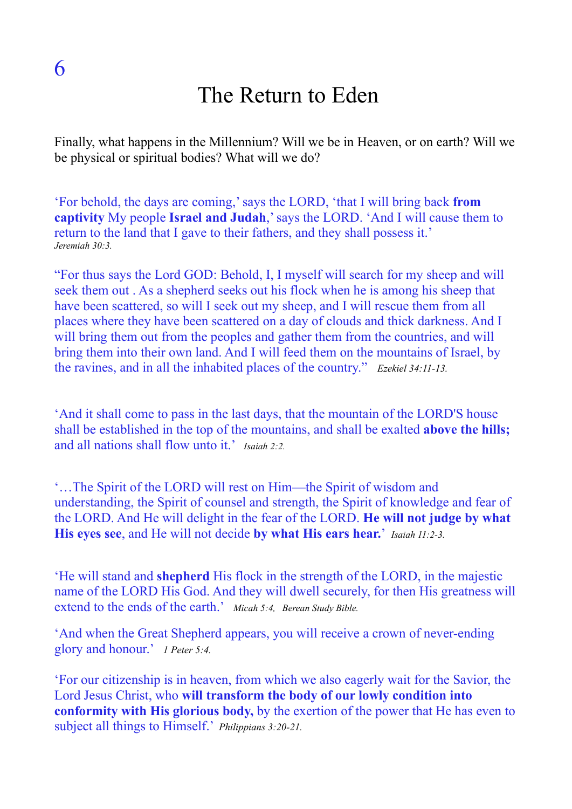## The Return to Eden

Finally, what happens in the Millennium? Will we be in Heaven, or on earth? Will we be physical or spiritual bodies? What will we do?

'For behold, the days are coming,' says the LORD, 'that I will bring back **from captivity** My people **Israel and Judah**,' says the LORD. 'And I will cause them to return to the land that I gave to their fathers, and they shall possess it.' *Jeremiah 30:3.* 

"For thus says the Lord GOD: Behold, I, I myself will search for my sheep and will seek them out . As a shepherd seeks out his flock when he is among his sheep that have been scattered, so will I seek out my sheep, and I will rescue them from all places where they have been scattered on a day of clouds and thick darkness. And I will bring them out from the peoples and gather them from the countries, and will bring them into their own land. And I will feed them on the mountains of Israel, by the ravines, and in all the inhabited places of the country." *Ezekiel 34:11-13.*

'And it shall come to pass in the last days, that the mountain of the LORD'S house shall be established in the top of the mountains, and shall be exalted **above the hills;** and all nations shall flow unto it.' *Isaiah 2:2.*

'…The Spirit of the LORD will rest on Him—the Spirit of wisdom and understanding, the Spirit of counsel and strength, the Spirit of knowledge and fear of the LORD. And He will delight in the fear of the LORD. **He will not judge by what His eyes see**, and He will not decide **by what His ears hear.**' *Isaiah 11:2-3.*

'He will stand and **shepherd** His flock in the strength of the LORD, in the majestic name of the LORD His God. And they will dwell securely, for then His greatness will extend to the ends of the earth.' *Micah 5:4, Berean Study Bible.*

'And when the Great Shepherd appears, you will receive a crown of never-ending glory and honour.' *1 Peter 5:4.*

'For our citizenship is in heaven, from which we also eagerly wait for the Savior, the Lord Jesus Christ, who **will transform the body of our lowly condition into conformity with His glorious body,** by the exertion of the power that He has even to subject all things to Himself.' *Philippians 3:20-21.*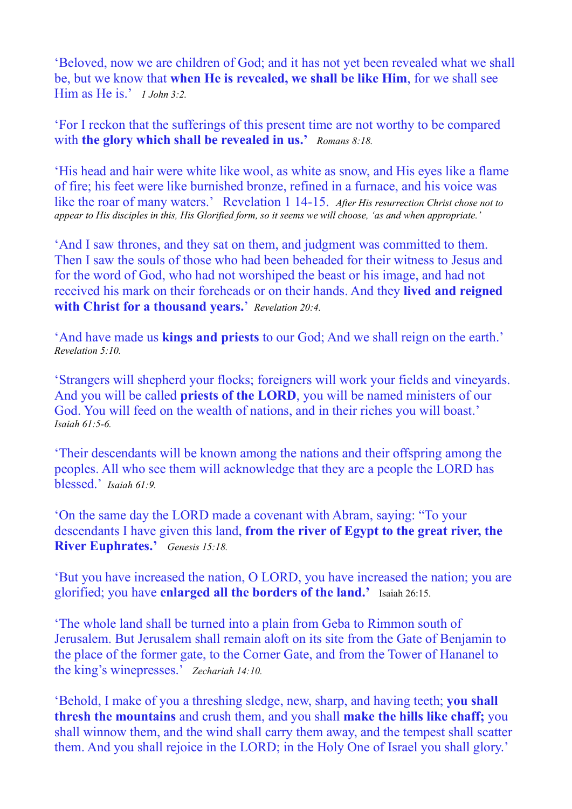'Beloved, now we are children of God; and it has not yet been revealed what we shall be, but we know that **when He is revealed, we shall be like Him**, for we shall see Him as He is.' *1 John 3:2.*

'For I reckon that the sufferings of this present time are not worthy to be compared with **the glory which shall be revealed in us.'** *Romans 8:18.*

'His head and hair were white like wool, as white as snow, and His eyes like a flame of fire; his feet were like burnished bronze, refined in a furnace, and his voice was like the roar of many waters.' Revelation 1 14-15. *After His resurrection Christ chose not to appear to His disciples in this, His Glorified form, so it seems we will choose, 'as and when appropriate.'*

'And I saw thrones, and they sat on them, and judgment was committed to them. Then I saw the souls of those who had been beheaded for their witness to Jesus and for the word of God, who had not worshiped the beast or his image, and had not received his mark on their foreheads or on their hands. And they **lived and reigned with Christ for a thousand years.**' *Revelation 20:4.*

'And have made us **kings and priests** to our God; And we shall reign on the earth.' *Revelation 5:10.*

'Strangers will shepherd your flocks; foreigners will work your fields and vineyards. And you will be called **priests of the LORD**, you will be named ministers of our God. You will feed on the wealth of nations, and in their riches you will boast.' *Isaiah 61:5-6.* 

'Their descendants will be known among the nations and their offspring among the peoples. All who see them will acknowledge that they are a people the LORD has blessed.' *Isaiah 61:9.*

'On the same day the LORD made a covenant with Abram, saying: "To your descendants I have given this land, **from the river of Egypt to the great river, the River Euphrates.'** *Genesis 15:18.*

'But you have increased the nation, O LORD, you have increased the nation; you are glorified; you have **enlarged all the borders of the land.'** Isaiah 26:15.

'The whole land shall be turned into a plain from Geba to Rimmon south of Jerusalem. But Jerusalem shall remain aloft on its site from the Gate of Benjamin to the place of the former gate, to the Corner Gate, and from the Tower of Hananel to the king's winepresses.' *Zechariah 14:10.*

'Behold, I make of you a threshing sledge, new, sharp, and having teeth; **you shall thresh the mountains** and crush them, and you shall **make the hills like chaff;** you shall winnow them, and the wind shall carry them away, and the tempest shall scatter them. And you shall rejoice in the LORD; in the Holy One of Israel you shall glory.'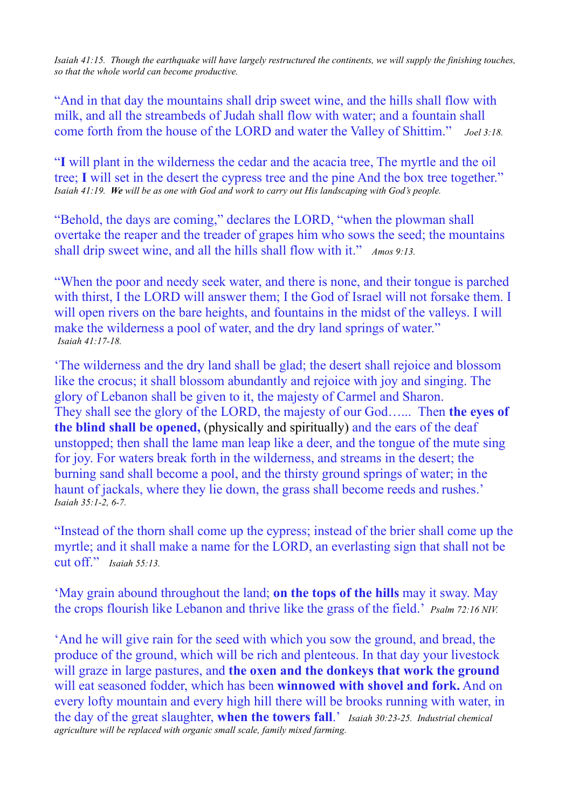*Isaiah 41:15. Though the earthquake will have largely restructured the continents, we will supply the finishing touches, so that the whole world can become productive.*

"And in that day the mountains shall drip sweet wine, and the hills shall flow with milk, and all the streambeds of Judah shall flow with water; and a fountain shall come forth from the house of the LORD and water the Valley of Shittim." *Joel 3:18.*

"**I** will plant in the wilderness the cedar and the acacia tree, The myrtle and the oil tree; **I** will set in the desert the cypress tree and the pine And the box tree together." *Isaiah 41:19. We will be as one with God and work to carry out His landscaping with God's people.*

"Behold, the days are coming," declares the LORD, "when the plowman shall overtake the reaper and the treader of grapes him who sows the seed; the mountains shall drip sweet wine, and all the hills shall flow with it." *Amos 9:13.*

"When the poor and needy seek water, and there is none, and their tongue is parched with thirst, I the LORD will answer them; I the God of Israel will not forsake them. I will open rivers on the bare heights, and fountains in the midst of the valleys. I will make the wilderness a pool of water, and the dry land springs of water." *Isaiah 41:17-18.*

'The wilderness and the dry land shall be glad; the desert shall rejoice and blossom like the crocus; it shall blossom abundantly and rejoice with joy and singing. The glory of Lebanon shall be given to it, the majesty of Carmel and Sharon. They shall see the glory of the LORD, the majesty of our God…... Then **the eyes of the blind shall be opened,** (physically and spiritually) and the ears of the deaf unstopped; then shall the lame man leap like a deer, and the tongue of the mute sing for joy. For waters break forth in the wilderness, and streams in the desert; the burning sand shall become a pool, and the thirsty ground springs of water; in the haunt of jackals, where they lie down, the grass shall become reeds and rushes.' *Isaiah 35:1-2, 6-7.* 

"Instead of the thorn shall come up the cypress; instead of the brier shall come up the myrtle; and it shall make a name for the LORD, an everlasting sign that shall not be cut off." *Isaiah 55:13.*

'May grain abound throughout the land; **on the tops of the hills** may it sway. May the crops flourish like Lebanon and thrive like the grass of the field.' *Psalm 72:16 NIV.*

'And he will give rain for the seed with which you sow the ground, and bread, the produce of the ground, which will be rich and plenteous. In that day your livestock will graze in large pastures, and **the oxen and the donkeys that work the ground**  will eat seasoned fodder, which has been **winnowed with shovel and fork.** And on every lofty mountain and every high hill there will be brooks running with water, in the day of the great slaughter, **when the towers fall**.' *Isaiah 30:23-25. Industrial chemical agriculture will be replaced with organic small scale, family mixed farming.*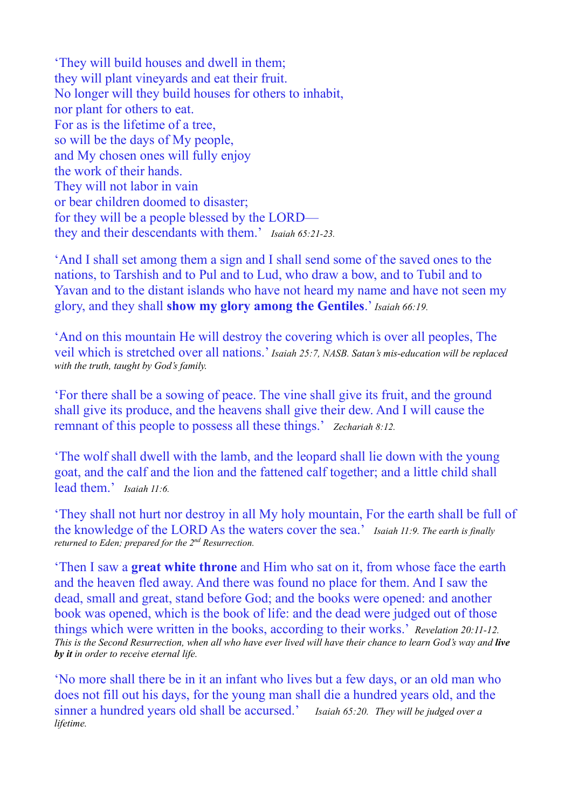'They will build houses and dwell in them; they will plant vineyards and eat their fruit. No longer will they build houses for others to inhabit, nor plant for others to eat. For as is the lifetime of a tree, so will be the days of My people, and My chosen ones will fully enjoy the work of their hands. They will not labor in vain or bear children doomed to disaster; for they will be a people blessed by the LORD they and their descendants with them.' *Isaiah 65:21-23.*

'And I shall set among them a sign and I shall send some of the saved ones to the nations, to Tarshish and to Pul and to Lud, who draw a bow, and to Tubil and to Yavan and to the distant islands who have not heard my name and have not seen my glory, and they shall **show my glory among the Gentiles**.' *Isaiah 66:19.*

'And on this mountain He will destroy the covering which is over all peoples, The veil which is stretched over all nations.' *Isaiah 25:7, NASB. Satan's mis-education will be replaced with the truth, taught by God's family.*

'For there shall be a sowing of peace. The vine shall give its fruit, and the ground shall give its produce, and the heavens shall give their dew. And I will cause the remnant of this people to possess all these things.' *Zechariah 8:12.*

'The wolf shall dwell with the lamb, and the leopard shall lie down with the young goat, and the calf and the lion and the fattened calf together; and a little child shall lead them.' *Isaiah 11:6.*

'They shall not hurt nor destroy in all My holy mountain, For the earth shall be full of the knowledge of the LORD As the waters cover the sea.' *Isaiah 11:9. The earth is finally returned to Eden; prepared for the 2nd Resurrection.*

'Then I saw a **great white throne** and Him who sat on it, from whose face the earth and the heaven fled away. And there was found no place for them. And I saw the dead, small and great, stand before God; and the books were opened: and another book was opened, which is the book of life: and the dead were judged out of those things which were written in the books, according to their works.' *Revelation 20:11-12. This is the Second Resurrection, when all who have ever lived will have their chance to learn God's way and live by it in order to receive eternal life.*

'No more shall there be in it an infant who lives but a few days, or an old man who does not fill out his days, for the young man shall die a hundred years old, and the sinner a hundred years old shall be accursed.' *Isaiah 65:20. They will be judged over a lifetime.*